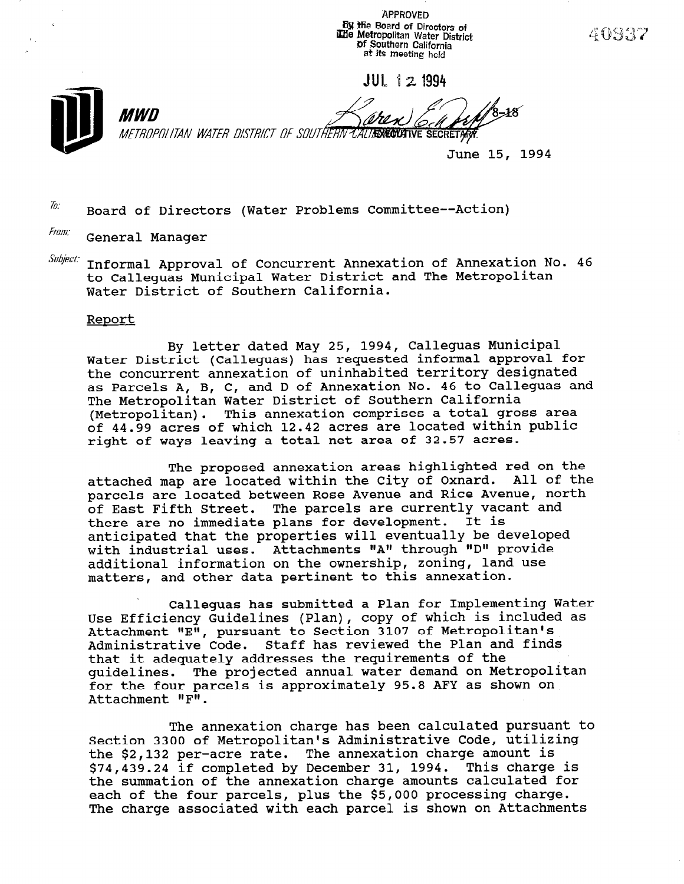APPROVED **By the Board of Directors of** iElie Metropolitan Water District Df Southern California at its meeting held

JUL 121994

MWN Ô METROPOLITAN WATER DISTRICT OF SOUTHERN CALIFICANTIVE SECRETARY

June 15, 1994

40977

To: Board of Directors (Water Problems Committee--Action)

Fram: General Manager

Subiect: Informal Approval of Concurrent Annexation of Annexation No. 46 Informal Ipprovis of conversion in the and The Metropoli Water District of Southern California.

#### Report

By letter dated May 25, 1994, Calleguas Municipal Water District (Calleguas) has requested informal approval for the concurrent annexation of uninhabited territory designated as Parcels A, B, C, and D of Annexation No. 46 to Calleguas and The Metropolitan Water District of Southern California (Metropolitan). This annexation comprises a total gross area of 44.99 acres of which 12.42 acres are located within public right of ways leaving a total net area of 32.57 acres.

The proposed annexation areas highlighted red on the attached map are located within the City of Oxnard. All of the parcels are located between Rose Avenue and Rice Avenue, north of East Fifth Street. The parcels are currently vacant and there are no immediate plans for development. It is anticipated that the properties will eventually be developed with industrial uses. Attachments "A" through "D" provide additional information on the ownership, zoning, land use matters, and other data pertinent to this annexation.

Calleguas has submitted a Plan for Implementing Water Use Use Use Calleguas into a committed a fight displanes into the production of which is included as USE EITICIENCY GUIUEIINES (FIAN), COPY OF WHICH IS INC<br>Attachment UEU, pursuant to Costion 2107 of Metropolit Attachment "E", pursuant to Section 3107 of Metropolitan's<br>Administrative Code. Staff has reviewed the Plan and finds that it adequately addresses the requirements of the guidelines. The projected annual water demand on Metropolitan for the four parcels is approximately 95.8 AFY as shown on  $Attachment$   $NFI$ .

The annexation charge has been calculated pursuant to Section 3300 of Metropolitan's Administrative Code, utilizing Section 3300 OI Metropolitan's Administrative code, utiliz the  $\frac{2}{7}$ , 132 per-acte rate. The annexation charge amount is  $$74,439.24$  if completed by December 31, 1994. This charge is the summation of the annexation charge amounts calculated for the summation of the annexation charge amounts calculated in each of the four parcels, plus the \$5,000 processing charge.<br>The change associated with each parcel is shown on Attachmen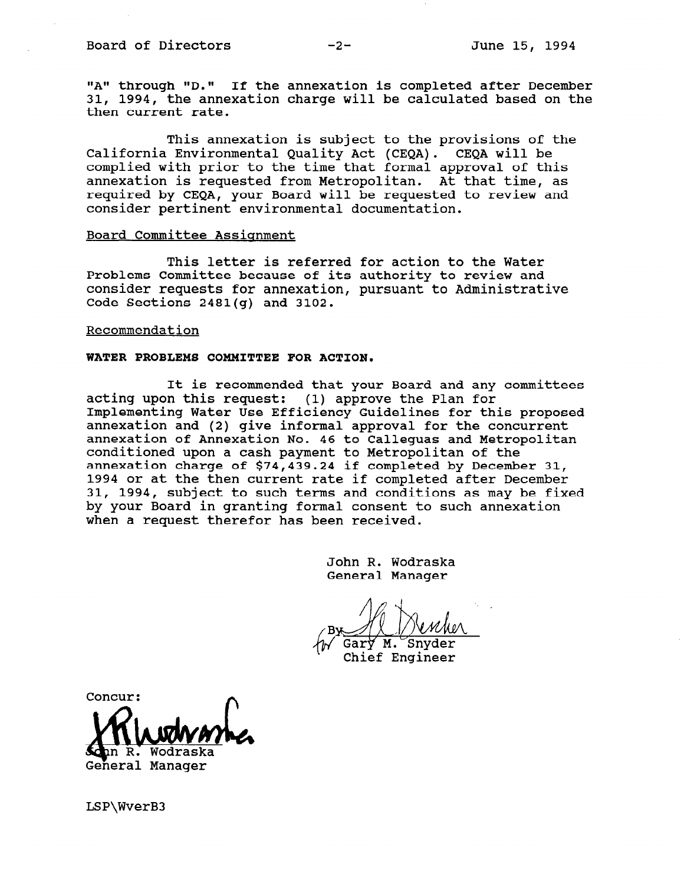"A" through "D." If the annexation is completed after December 31, 1994, the annexation charge will be calculated based on the then current rate.

This annexation is subject to the provisions of the California Environmental Quality Act (CEQA). CEQA will be complied with prior to the time that formal approval of this annexation is requested from Metropolitan. At that time, as required by CEQA, your Board will be requested to review and consider pertinent environmental documentation.

#### Board Committee Assignment

This letter is referred for action to the Water Problems Committee because of its authority to review and consider requests for annexation, pursuant to Administrative Code Sections 2481(g) and 3102.

#### Recommendation

#### WATER PROBLEMS COMMITTEE FOR ACTION.

It is recommended that your Board and any committees acting upon this request: (1) approve the Plan for Implementing Water Use Efficiency Guidelines for this proposed annexation and (2) give informal approval for the concurrent annexation of Annexation No. 46 to Calleguas and Metropolitan conditioned upon a cash payment to Metropolitan of the annexation charge of \$74,439.24 if completed by December 31, 1994 or at the then current rate if completed after December 31, 1994, subject to such terms and conditions as may be fixed by your Board in granting formal consent to such annexation when a request therefor has been received.

> John R. Wodraska General Manager

Gary M. Snyder

Chief Engineer

CONCUR:<br>Whitewark n R. Wod Ge'neral Manager

LSP\WverB3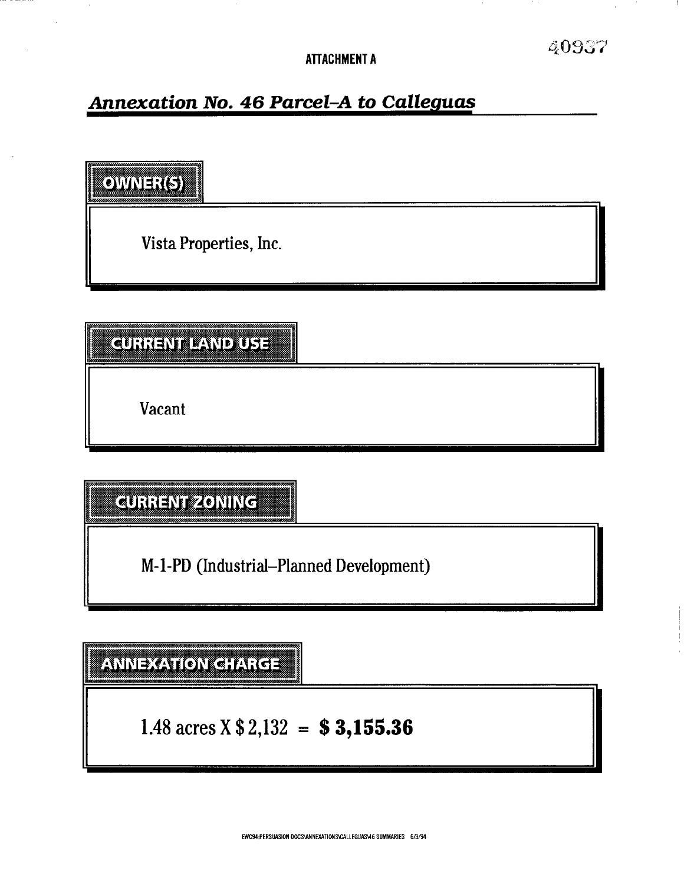# **Annexation No. 46 Parcel-A to Calleguas**

**OWNER(S)** 

Vista Properties, Inc.

**CURRENT LAND USE** 

Vacant

**CURRENTZONING** 

M-l-PD (Industrial-Planned Development)

**ANNEXATION CHARGE** 

1.48 acres  $X $2,132 = $3,155.36$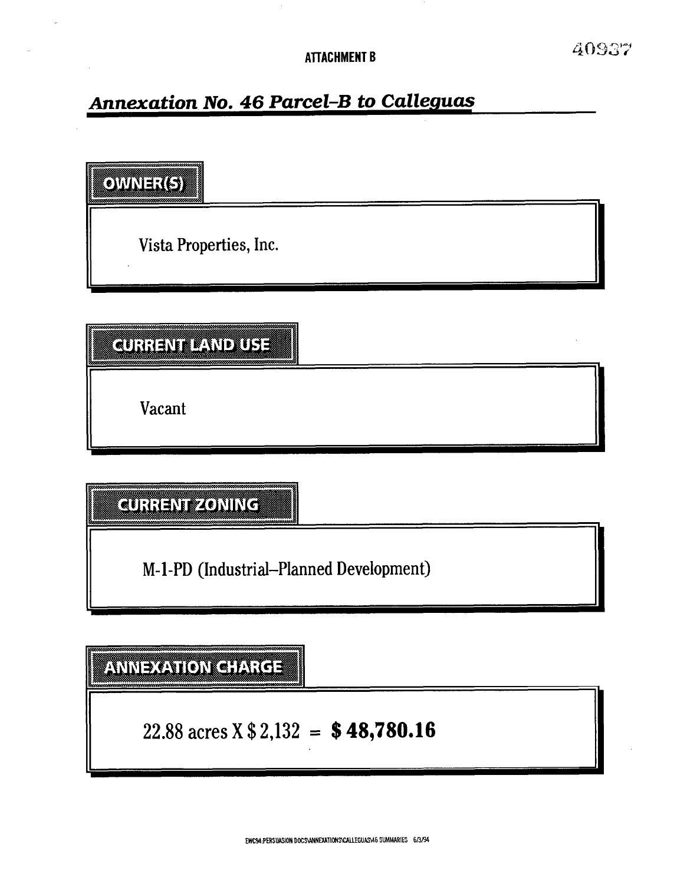# Annexation No. 46 Parcel-B to Calleguas

OWNER(5)

Vista Properties, Inc.

# **CURRENT PAND USE**

Vacant

CURRENTZONING

M-l-PD (Industrial--Planned Development)

# ANNEXATION CHARGE

22.88 acres X  $$2,132 = $48,780.16$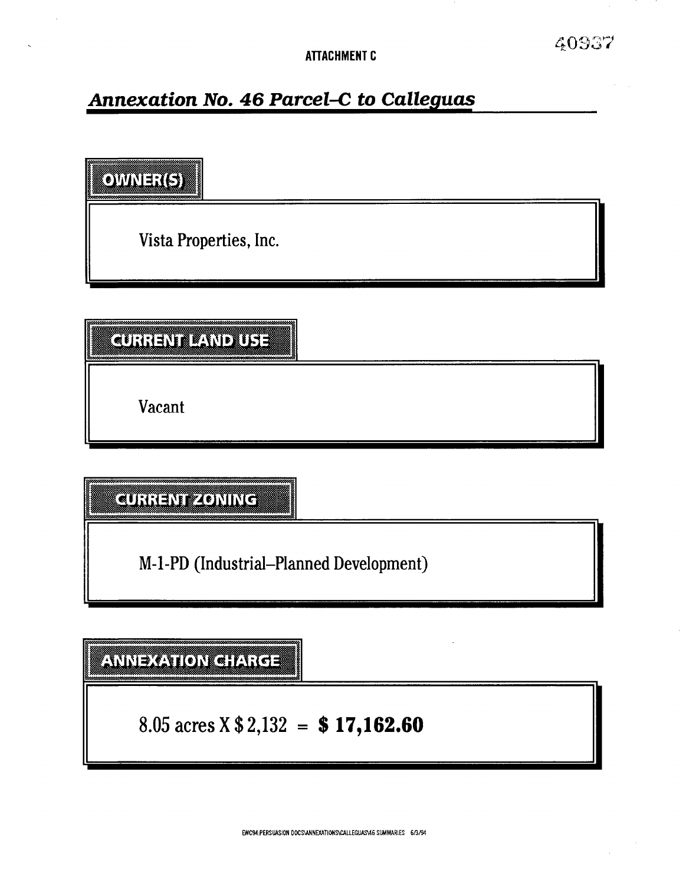# **Annexation No. 46 Parcel-C to Calleguas**

 $Q$ VINE $\mathcal{I}(\mathcal{G})$ 

Vista Properties, Inc.

**CURICAT TIVERILLE** 

Vacant

**CURRENT ZONING** 

M-l-PD (Industrial-Planned Development)

AMMEXATOM CHARGE

8.05 acres  $X $2,132 = $17,162.60$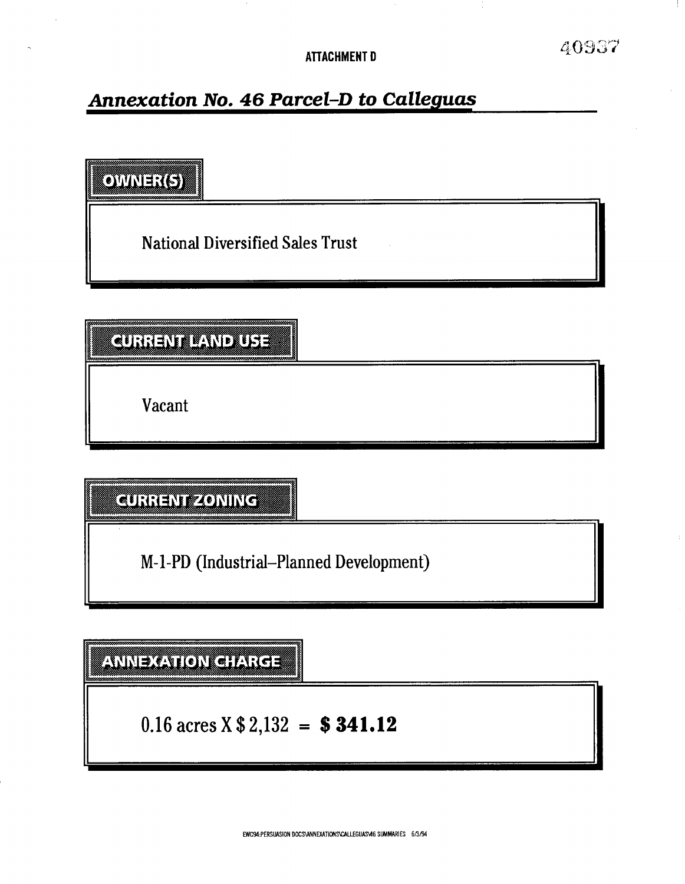**ATTACHMENT D** 

40937

# **Annexation No. 46 Parcel-D to Calleguas**

OWER(5)

National Diversified Sales Trust

**CURRENT PAND USE** 

Vacant

CURRENTZONING

M-l-PD (Industrial-Planned Development)

**ANNEXATION CHARGE** 

0.16 acres  $X $2,132 = $341.12$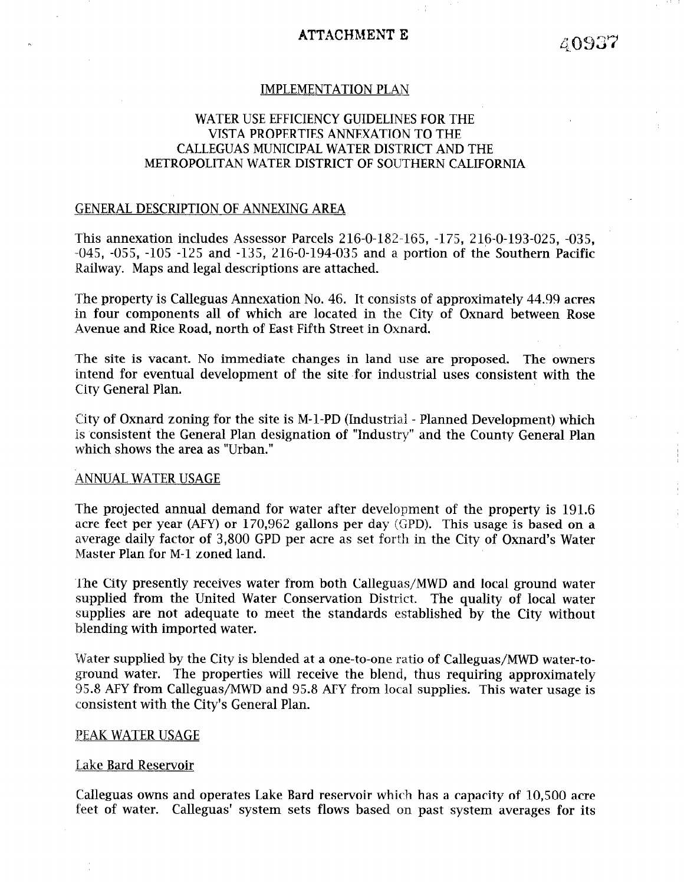# ATTACHMENT E

# IMPLEMENTATION PLAN

# WATER USE EFFICIENCY GUIDELINES FOR THE VISTA PROPERTIES ANNEXATION TO THE CALLEGUAS MUNICIPAL WATER DISTRICT AND THE METROPOLITAN WATER DISTRICT OF SOUTHERN CALIFORNIA

# GENERAL DESCRIPTION OF ANNEXING AREA

This annexation includes Assessor Parcels 216-O-182-165, -175, 216-o-193-025, -035,  $-045$ ,  $-055$ ,  $-105$   $-125$  and  $-135$ ,  $216$ - $0$ - $194$ - $035$  and a portion of the Southern Pacific Railway. Maps and legal descriptions are attached.

The property is Calleguas Annexation No. 46. It consists of approximately 44.99 acres in four components all of which are located in the City of Oxnard between Rose Avenue and Rice Road, north of East Fifth Street in Oxnard.

The site is vacant. No immediate changes in land use are proposed. The owners intend for eventual development of the site for industrial uses consistent with the City General Plan.

City of Oxnard zoning for the site is M-l-PD (Industrial - Planned Development) which is consistent the General Plan designation of "Industry" and the County General Plan which shows the area as "Urban."

#### ANNUAL WATER USAGE

The projected annual demand for water after development of the property is 191.6 acre feet per year (AFY) or 170,962 gallons per day (GPD). This usage is based on a average daily factor of 3,800 GPD per acre as set forth in the City of Oxnard's Water Master Plan for M-l zoned land.

The City presently receives water from both Calleguas/MWD and local ground water supplied from the United Water Conservation District. The quality of local water supplies are not adequate to meet the standards established by the City without blending with imported water.

Water supplied by the City is blended at a one-to-one ratio of Calleguas/MWD water-toground water. The properties will receive the blend, thus requiring approximately 95.8 AFY from Calleguas/MWD and 95.8 AFY from local supplies. This water usage is consistent with the City's General Plan.

#### PEAK WATER USAGE

## Lake Bard Reservoir

Calleguas owns and operates Lake Bard reservoir which has a capacity of 10,500 acre feet of water. Calleguas' system sets flows based on past system averages for its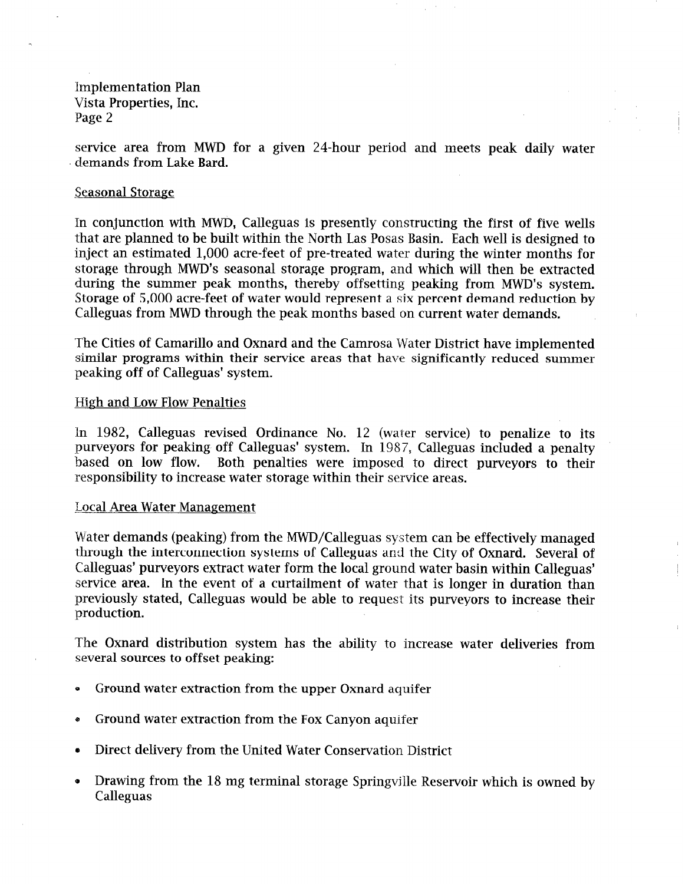service area from MWD for a given 24-hour period and meets peak daily water demands from Lake Bard.

## Seasonal Storage

In conjunction with MWD, Calleguas is presently constructing the first of five wells that are planned to be built within the North Las Posas Basin. Each well is designed to inject an estimated 1,000 acre-feet of pre-treated water during the winter months for storage through MWD's seasonal storage program, and which will then be extracted during the summer peak months, thereby offsetting peaking from MWD's system. Storage of 5,000 acre-feet of water would represent a six percent demand reduction by Calleguas from MWD through the peak months based on current water demands.

The Cities of Camarillo and Oxnard and the Camrosa Water District have implemented similar programs within their service areas that have significantly reduced summer peaking off of Calleguas' system.

## High and Low Flow Penalties

In 1982, Calleguas revised Ordinance No. 12 (water service) to penalize to its purveyors for peaking off Calleguas' system. In 1987, Calleguas included a penalty based on low flow. Both penalties were imposed to direct purveyors to their responsibility to increase water storage within their service areas.

#### Local Area Water Management

Water demands (peaking) from the MWD/Calleguas system can be effectively managed through the interconnection systems of Calleguas and the City of Oxnard. Several of Calleguas' purveyors extract water form the local ground water basin within Calleguas' service area. In the event of a curtailment of water that is longer in duration than previously stated, Calleguas would be able to request its purveyors to increase their production.

The Oxnard distribution system has the ability to increase water deliveries from several sources to offset peaking:

- 0 Ground water extraction from the upper Oxnard aquifer
- e Ground water extraction from the Fox Canyon aquifer
- e Direct delivery from the United Water Conservation District
- 0 Drawing from the 18 mg terminal storage Springvjlle Reservoir which is owned by Calleguas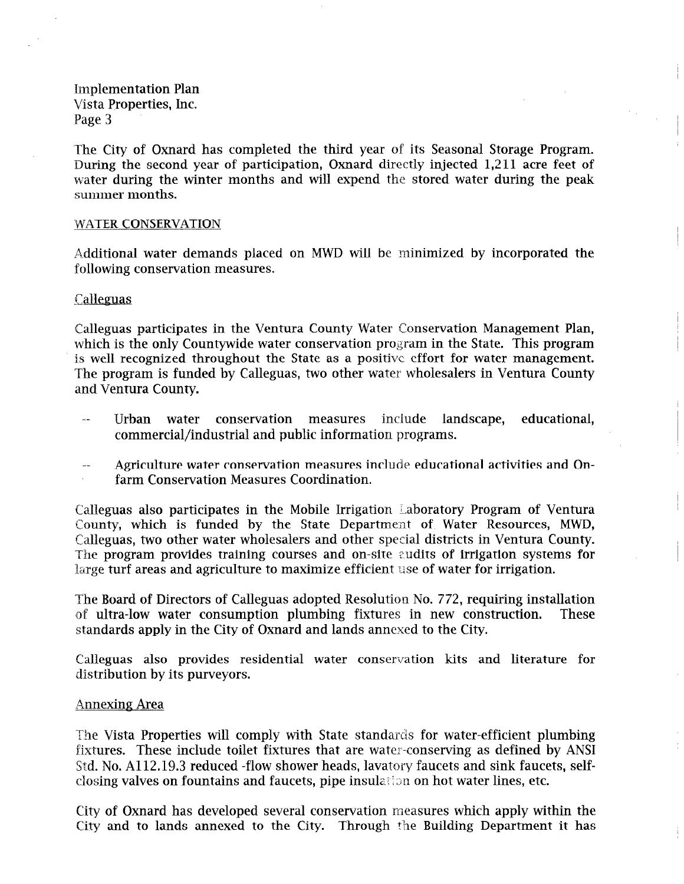The City of Oxnard has completed the third year of its Seasonal Storage Program. During the second year of participation, Oxnard directly injected 1,211 acre feet of water during the winter months and will expend the stored water during the peak summer months.

## WATER CONSERVATION

A.dditional water demands placed on MWD will be minimized by incorporated the following conservation measures.

## Calleguas

Calleguas participates in the Ventura County Water Conservation Management Plan, which is the only Countywide water conservation program in the State. This program is well recognized throughout the State as a positive effort for water management. The program is funded by Calleguas, two other water wholesalers in Ventura County and Ventura County.

- $\ddot{\phantom{a}}$ Urban water conservation measures include landscape, educational, commercial/industrial and public information programs.
- Agriculture water conservation measures include educational activities and Onfarm Conservation Measures Coordination.

Calleguas also participates in the Mobile Irrigation Laboratory Program of Ventura County, which is funded by the State Department of Water Resources, MWD, Calleguas, two other water wholesalers and other special districts in Ventura County. The program provides training courses and on-site audits of irrigation systems for large turf areas and agriculture to maximize efficient use of water for irrigation.

The Board of Directors of Calleguas adopted Resolution No. 772, requiring installation of ultra-low water consumption plumbing fixtures in new construction. These standards apply in the City of Oxnard and lands annexed to the City.

Calleguas also provides residential water conservation kits and literature for distribution by its purveyors.

#### Annexing Area

The Vista Properties will comply with State standards for water-efficient plumbing fixtures. These include toilet fixtures that are water-conserving as defined by ANSI Std. No. A112.19.3 reduced -flow shower heads, lavatory faucets and sink faucets, selfclosing valves on fountains and faucets, pipe insulation on hot water lines, etc.

City of Oxnard has developed several conservation measures which apply within the City and to lands annexed to the City. Through the Building Department it has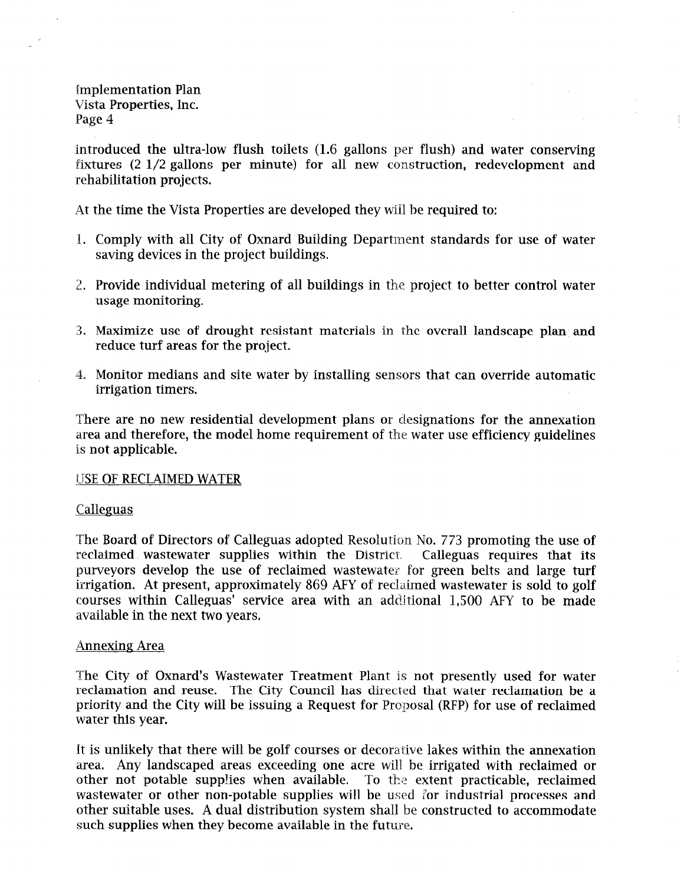introduced the ultra-low flush toilets (1.6 gallons per flush) and water conserving fixtures (2 l/2 gallons per minute) for all new construction, redevelopment and rehabilitation projects.

At the time the Vista Properties are developed they will be required to:

- 1. Comply with all City of Oxnard Building Department standards for use of water saving devices in the project buildings.
- 2. Provide individual metering of all buildings in the project to better control water usage monitoring.
- 3. Maximize use of drought resistant materials in the overall landscape plan and reduce turf areas for the project.
- 4. Monitor medians and site water by installing sensors that can override automatic irrigation timers.

There are no new residential development plans or designations for the annexation area and therefore, the model home requirement of the water use efficiency guidelines is not applicable.

#### USE OF RECLAIMED WATER

# Calleguas

The Board of Directors of Calleguas adopted Resolution No. 773 promoting the use of reclaimed wastewater supplies within the District. Calleguas requires that its purveyors develop the use of reclaimed wastewater for green belts and large turf irrigation. At present, approximately 869 AFY of reclaimed wastewater is sold to golf courses within Calleguas' service area with an additional 1,500 AFY to be made available in the next two years.

#### Annexing Area

The City of Oxnard's Wastewater Treatment Plant is not presently used for water reclamation and reuse. The City Council has directed that water reclamation be a priority and the City will be issuing a Request for Proposal (RFP) for use of reclaimed water this year.

It is unlikely that there will be golf courses or decorative lakes within the annexation area. Any landscaped areas exceeding one acre will be irrigated with reclaimed or other not potable supplies when available. To the extent practicable, reclaimed wastewater or other non-potable supplies will be used for industrial processes and other suitable uses. A dual distribution system shall be constructed to accommodate such supplies when they become available in the future.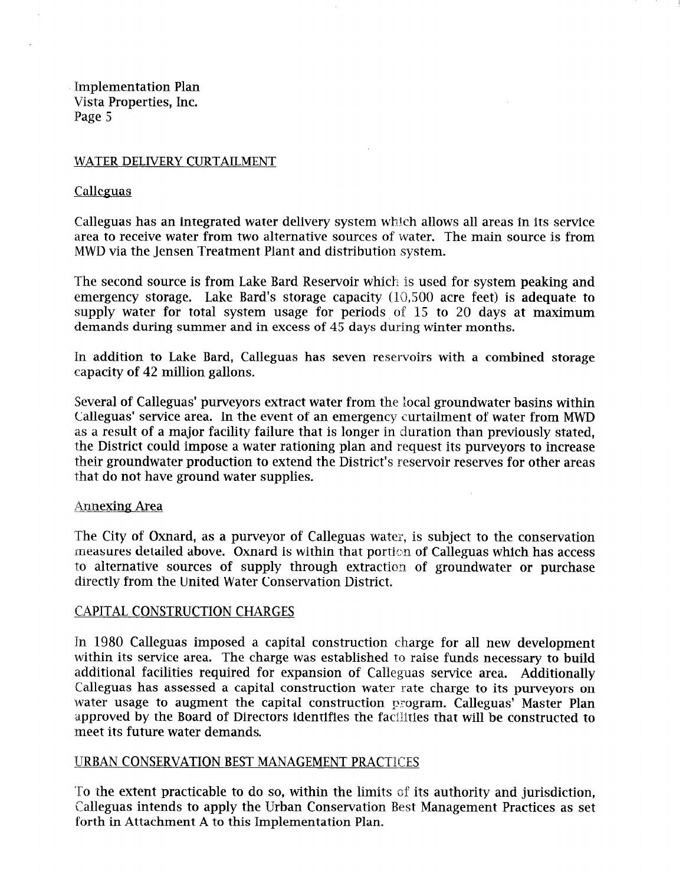# WATER DELIVERY CURTAILMENT

# Calleguas

Calleguas has an integrated water delivery system which allows all areas in its service area to receive water from two alternative sources of water. The main source is from MWD via the Jensen Treatment Plant and distribution system.

 $\sim$ 

The second source is from Lake Bard Reservoir which is used for system peaking and emergency storage. Lake Bard's storage capacity (10,500 acre feet) is adequate to supply water for total system usage for periods, of 15 to 20 days at maximum demands during summer and in excess of 45 days during winter months.

In addition to Lake Bard, Calleguas has seven reservoirs with a combined storage capacity of 42 million gallons.

Several of Calleguas' purveyors extract water from the local groundwater basins within Calleguas' service area. In the event of an emergency curtailment of water from MWD as a result of a major facility failure that is longer in duration than previously stated, the District could impose a water rationing plan and request its purveyors to increase their groundwater production to extend the District's reservoir reserves for other areas that do not have ground water supplies.

# Annexing Area

The City of Oxnard, as a purveyor of Calleguas water, is subject to the conservation measures detailed above. Oxnard is within that porticn of Calleguas which has access to alternative sources of supply through extraction of groundwater or purchase directly from the United Water Conservation District.

# CAPITAL CONSTRUCTION CHARGES

In 1980 Calleguas imposed a capital construction charge for all new development within its service area. The charge was established to raise funds necessary to build additional facilities required for expansion of Calleguas service area. Additionally Calleguas has assessed a capital construction water rate charge to its purveyors on water usage to augment the capital construction program. Calleguas' Master Plan approved by the Board of Directors identifies the facilities that will be constructed to meet its future water demands.

# URBAN CONSERVATION BEST MANAGEMENT PRACTICES

To the extent practicable to do so, within the limits of its authority and jurisdiction, Calleguas intends to apply the Urban Conservation Best Management Practices as set forth in Attachment A to this Implementation Plan.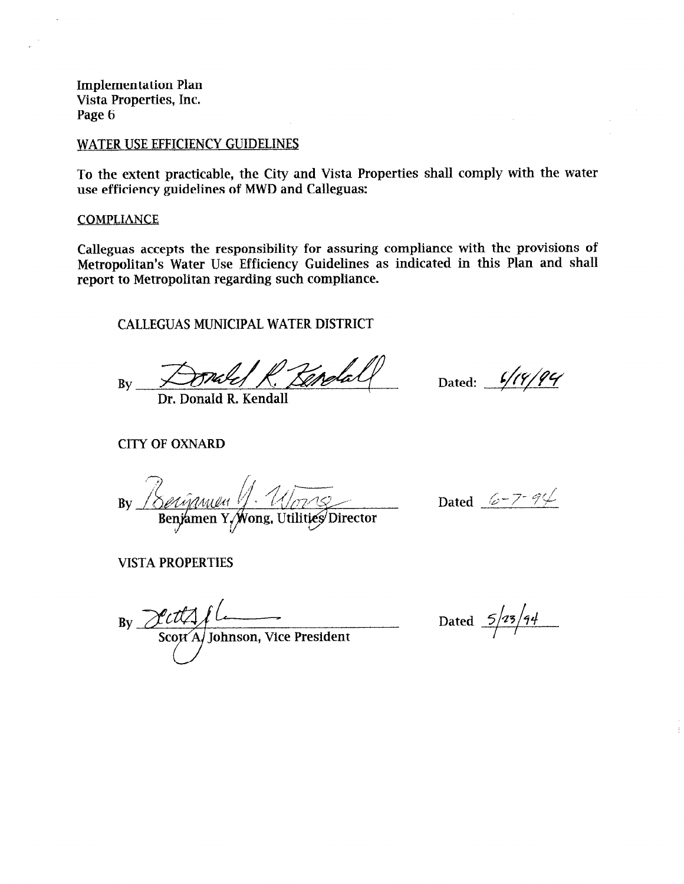## WATER USE EFFICIENCY GUIDELINES

To the extent practicable, the City and Vista Properties shall comply with the water use efficiency guidelines of MWD and Calleguas:

## **COMPLIANCE**

Calleguas accepts the responsibility for assuring compliance with the provisions of Metropolitan's Water Use Efficiency Guidelines as indicated in this Plan and shall report to Metropolitan regarding such compliance.

CALLEGUAS MUNICIPAL WATER DISTRICT

 $By  $\frac{1}{\sqrt{10}}$$ Crotall

Dr. Donald R. Kendall

Dated: 6/19/94

CITY OF OXNARD

Berigmen V. Um Series Dated 6-7-94  $Bv$ 

VISTA PROPERTIES

 $\overline{\phantom{a}}$  $S_{\text{scat}}$  Johnson, Vice President

Dated  $\frac{5/25/44}{ }$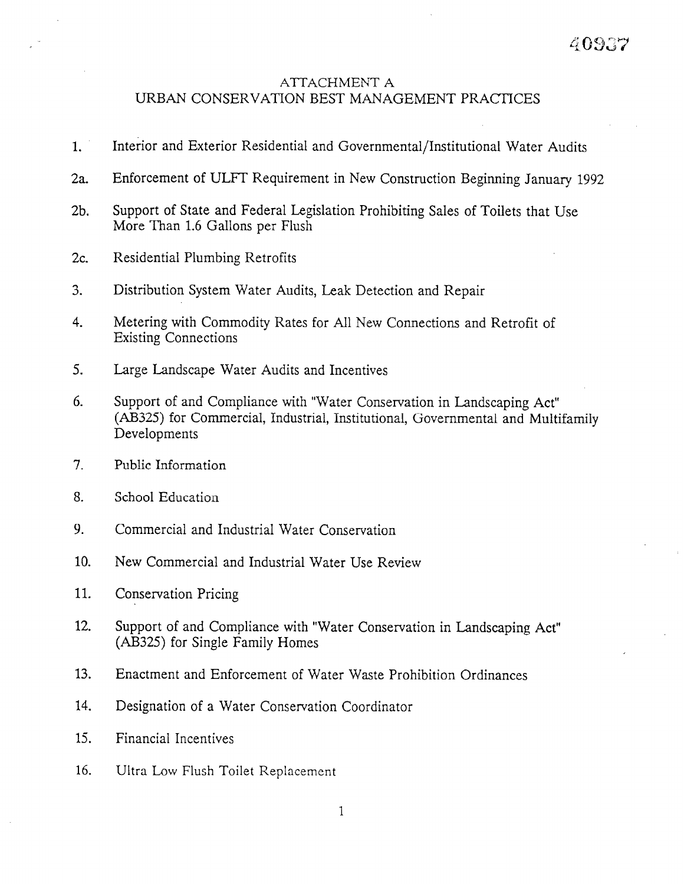# ATTACHMENT A URBAN CONSERVATION BEST MANAGEMENT PRACTICES

- 1. Interior and Exterior Residential and Governmental/Institutional Water Audits
- 2a. Enforcement of ULFT Requirement in New Construction Beginning January 1992
- 2b. Support of State and Federal Legislation Prohibiting Sales of Toilets that Use More Than 1.6 Gallons per Flush
- 2c. Residential Plumbing Retrofits
- 3. Distribution System Water Audits, Leak Detection and Repair
- 4. Metering with Commodity Rates for All New Connections and Retrofit of Existing Connections
- 5. Large Landscape Water Audits and Incentives
- 6. Support of and Compliance with "Water Conservation in Landscaping Act" (AB325) for Commercial, Industrial, Institutional, Governmental and Multifamily Developments
- 7. Public Information
- 8. School Education
- 9. Commercial and Industrial Water Conservation
- 10. New Commercial and Industrial Water Use Review
- 11. Conservation Pricing
- 12. Support of and Compliance with "Water Conservation in Landscaping Act" (AB325) for Single Family Homes
- 13. Enactment and Enforcement of Water Waste Prohibition Ordinances
- 14. Designation of a Water Conservation Coordinator
- 15. Financial Incentives
- 16. Ultra Low Flush Toilet Replacement